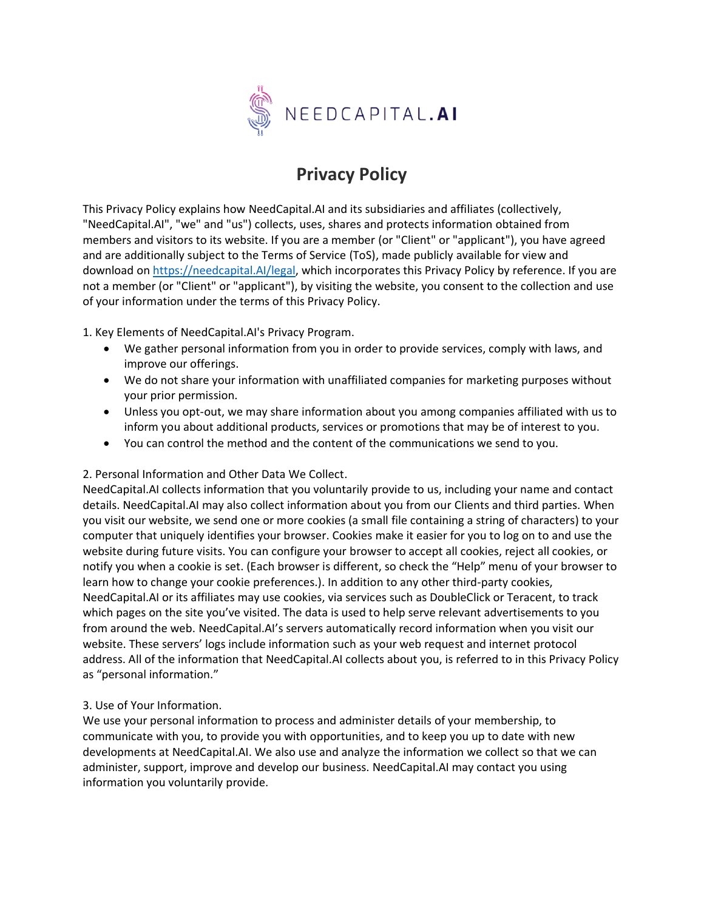

# **Privacy Policy**

This Privacy Policy explains how NeedCapital.AI and its subsidiaries and affiliates (collectively, "NeedCapital.AI", "we" and "us") collects, uses, shares and protects information obtained from members and visitors to its website. If you are a member (or "Client" or "applicant"), you have agreed and are additionally subject to the Terms of Service (ToS), made publicly available for view and download on [https://needcapital.AI/legal,](https://needcapital.ai/legal) which incorporates this Privacy Policy by reference. If you are not a member (or "Client" or "applicant"), by visiting the website, you consent to the collection and use of your information under the terms of this Privacy Policy.

1. Key Elements of NeedCapital.AI's Privacy Program.

- We gather personal information from you in order to provide services, comply with laws, and improve our offerings.
- We do not share your information with unaffiliated companies for marketing purposes without your prior permission.
- Unless you opt-out, we may share information about you among companies affiliated with us to inform you about additional products, services or promotions that may be of interest to you.
- You can control the method and the content of the communications we send to you.

## 2. Personal Information and Other Data We Collect.

NeedCapital.AI collects information that you voluntarily provide to us, including your name and contact details. NeedCapital.AI may also collect information about you from our Clients and third parties. When you visit our website, we send one or more cookies (a small file containing a string of characters) to your computer that uniquely identifies your browser. Cookies make it easier for you to log on to and use the website during future visits. You can configure your browser to accept all cookies, reject all cookies, or notify you when a cookie is set. (Each browser is different, so check the "Help" menu of your browser to learn how to change your cookie preferences.). In addition to any other third-party cookies, NeedCapital.AI or its affiliates may use cookies, via services such as DoubleClick or Teracent, to track which pages on the site you've visited. The data is used to help serve relevant advertisements to you from around the web. NeedCapital.AI's servers automatically record information when you visit our website. These servers' logs include information such as your web request and internet protocol address. All of the information that NeedCapital.AI collects about you, is referred to in this Privacy Policy as "personal information."

#### 3. Use of Your Information.

We use your personal information to process and administer details of your membership, to communicate with you, to provide you with opportunities, and to keep you up to date with new developments at NeedCapital.AI. We also use and analyze the information we collect so that we can administer, support, improve and develop our business. NeedCapital.AI may contact you using information you voluntarily provide.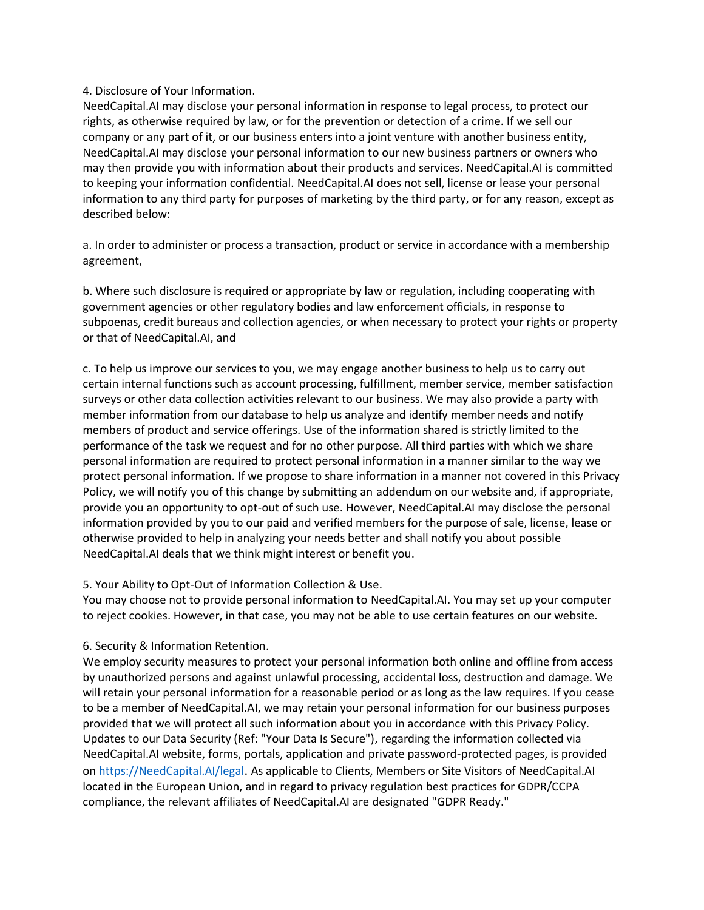#### 4. Disclosure of Your Information.

NeedCapital.AI may disclose your personal information in response to legal process, to protect our rights, as otherwise required by law, or for the prevention or detection of a crime. If we sell our company or any part of it, or our business enters into a joint venture with another business entity, NeedCapital.AI may disclose your personal information to our new business partners or owners who may then provide you with information about their products and services. NeedCapital.AI is committed to keeping your information confidential. NeedCapital.AI does not sell, license or lease your personal information to any third party for purposes of marketing by the third party, or for any reason, except as described below:

a. In order to administer or process a transaction, product or service in accordance with a membership agreement,

b. Where such disclosure is required or appropriate by law or regulation, including cooperating with government agencies or other regulatory bodies and law enforcement officials, in response to subpoenas, credit bureaus and collection agencies, or when necessary to protect your rights or property or that of NeedCapital.AI, and

c. To help us improve our services to you, we may engage another business to help us to carry out certain internal functions such as account processing, fulfillment, member service, member satisfaction surveys or other data collection activities relevant to our business. We may also provide a party with member information from our database to help us analyze and identify member needs and notify members of product and service offerings. Use of the information shared is strictly limited to the performance of the task we request and for no other purpose. All third parties with which we share personal information are required to protect personal information in a manner similar to the way we protect personal information. If we propose to share information in a manner not covered in this Privacy Policy, we will notify you of this change by submitting an addendum on our website and, if appropriate, provide you an opportunity to opt-out of such use. However, NeedCapital.AI may disclose the personal information provided by you to our paid and verified members for the purpose of sale, license, lease or otherwise provided to help in analyzing your needs better and shall notify you about possible NeedCapital.AI deals that we think might interest or benefit you.

#### 5. Your Ability to Opt-Out of Information Collection & Use.

You may choose not to provide personal information to NeedCapital.AI. You may set up your computer to reject cookies. However, in that case, you may not be able to use certain features on our website.

#### 6. Security & Information Retention.

We employ security measures to protect your personal information both online and offline from access by unauthorized persons and against unlawful processing, accidental loss, destruction and damage. We will retain your personal information for a reasonable period or as long as the law requires. If you cease to be a member of NeedCapital.AI, we may retain your personal information for our business purposes provided that we will protect all such information about you in accordance with this Privacy Policy. Updates to our Data Security (Ref: "Your Data Is Secure"), regarding the information collected via NeedCapital.AI website, forms, portals, application and private password-protected pages, is provided on [https://NeedCapital.AI/legal](https://needcapital.ai/legal). As applicable to Clients, Members or Site Visitors of NeedCapital.AI located in the European Union, and in regard to privacy regulation best practices for GDPR/CCPA compliance, the relevant affiliates of NeedCapital.AI are designated "GDPR Ready."